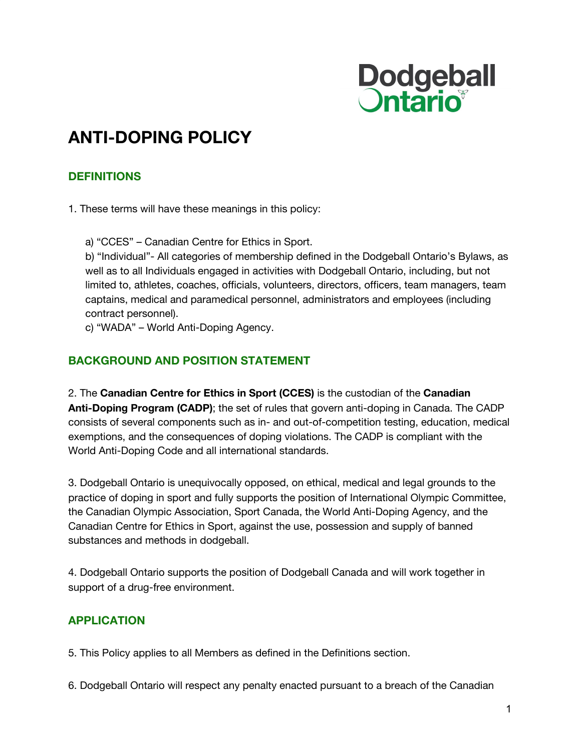

# **ANTI-DOPING POLICY**

## **DEFINITIONS**

1. These terms will have these meanings in this policy:

a) "CCES" – Canadian Centre for Ethics in Sport.

b) "Individual"- All categories of membership defined in the Dodgeball Ontario's Bylaws, as well as to all Individuals engaged in activities with Dodgeball Ontario, including, but not limited to, athletes, coaches, officials, volunteers, directors, officers, team managers, team captains, medical and paramedical personnel, administrators and employees (including contract personnel).

c) "WADA" – World Anti-Doping Agency.

#### **BACKGROUND AND POSITION STATEMENT**

2. The **Canadian Centre for Ethics in Sport (CCES)** is the custodian of the **Canadian Anti-Doping Program (CADP)**; the set of rules that govern anti-doping in Canada. The CADP consists of several components such as in- and out-of-competition testing, education, medical exemptions, and the consequences of doping violations. The CADP is compliant with the World Anti-Doping Code and all international standards.

3. Dodgeball Ontario is unequivocally opposed, on ethical, medical and legal grounds to the practice of doping in sport and fully supports the position of International Olympic Committee, the Canadian Olympic Association, Sport Canada, the World Anti-Doping Agency, and the Canadian Centre for Ethics in Sport, against the use, possession and supply of banned substances and methods in dodgeball.

4. Dodgeball Ontario supports the position of Dodgeball Canada and will work together in support of a drug-free environment.

## **APPLICATION**

5. This Policy applies to all Members as defined in the Definitions section.

6. Dodgeball Ontario will respect any penalty enacted pursuant to a breach of the Canadian